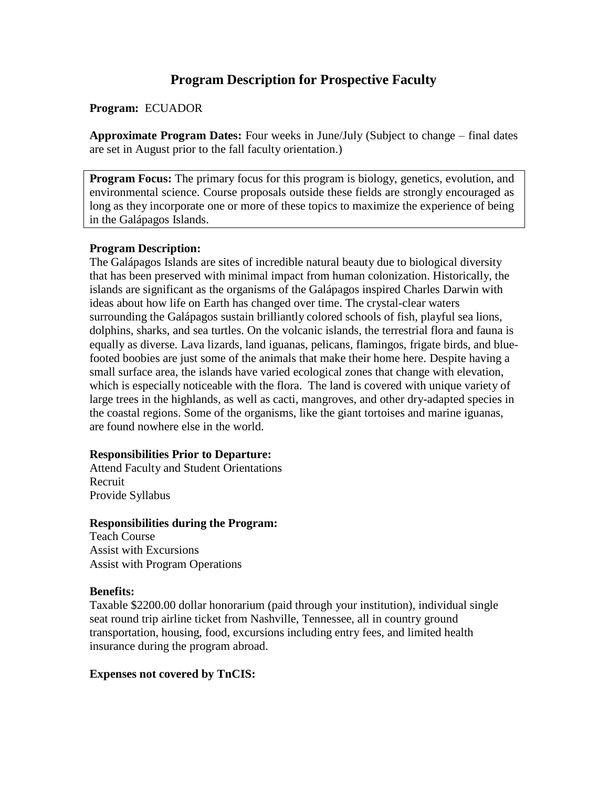# **Program Description for Prospective Faculty**

# **Program:** ECUADOR

**Approximate Program Dates:** Four weeks in June/July (Subject to change – final dates are set in August prior to the fall faculty orientation.)

**Program Focus:** The primary focus for this program is biology, genetics, evolution, and environmental science. Course proposals outside these fields are strongly encouraged as long as they incorporate one or more of these topics to maximize the experience of being in the Galápagos Islands.

# **Program Description:**

The Galápagos Islands are sites of incredible natural beauty due to biological diversity that has been preserved with minimal impact from human colonization. Historically, the islands are significant as the organisms of the Galápagos inspired Charles Darwin with ideas about how life on Earth has changed over time. The crystal-clear waters surrounding the Galápagos sustain brilliantly colored schools of fish, playful sea lions, dolphins, sharks, and sea turtles. On the volcanic islands, the terrestrial flora and fauna is equally as diverse. Lava lizards, land iguanas, pelicans, flamingos, frigate birds, and bluefooted boobies are just some of the animals that make their home here. Despite having a small surface area, the islands have varied ecological zones that change with elevation, which is especially noticeable with the flora. The land is covered with unique variety of large trees in the highlands, as well as cacti, mangroves, and other dry-adapted species in the coastal regions. Some of the organisms, like the giant tortoises and marine iguanas, are found nowhere else in the world.

# **Responsibilities Prior to Departure:**

Attend Faculty and Student Orientations Recruit Provide Syllabus

# **Responsibilities during the Program:**

Teach Course Assist with Excursions Assist with Program Operations

# **Benefits:**

Taxable \$2200.00 dollar honorarium (paid through your institution), individual single seat round trip airline ticket from Nashville, Tennessee, all in country ground transportation, housing, food, excursions including entry fees, and limited health insurance during the program abroad.

# **Expenses not covered by TnCIS:**